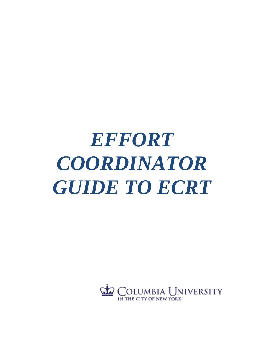# *EFFORT COORDINATOR GUIDE TO ECRT*

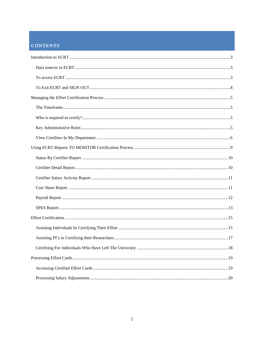# **CONTENTS**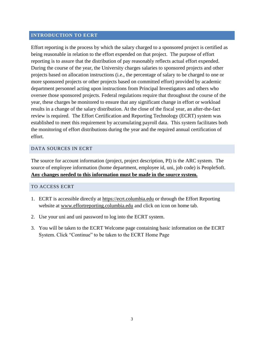#### <span id="page-2-0"></span>**INTRODUCTION TO ECRT**

Effort reporting is the process by which the salary charged to a sponsored project is certified as being reasonable in relation to the effort expended on that project. The purpose of effort reporting is to assure that the distribution of pay reasonably reflects actual effort expended. During the course of the year, the University charges salaries to sponsored projects and other projects based on allocation instructions (i.e., the percentage of salary to be charged to one or more sponsored projects or other projects based on committed effort) provided by academic department personnel acting upon instructions from Principal Investigators and others who oversee those sponsored projects. Federal regulations require that throughout the course of the year, these charges be monitored to ensure that any significant change in effort or workload results in a change of the salary distribution. At the close of the fiscal year, an after-the-fact review is required. The Effort Certification and Reporting Technology (ECRT) system was established to meet this requirement by accumulating payroll data. This system facilitates both the monitoring of effort distributions during the year and the required annual certification of effort.

#### <span id="page-2-1"></span>DATA SOURCES IN ECRT

The source for account information (project, project description, PI) is the ARC system. The source of employee information (home department, employee id, uni, job code) is PeopleSoft. **Any changes needed to this information must be made in the source system.**

#### <span id="page-2-2"></span>TO ACCESS ECRT

- 1. ECRT is accessible directly at [https://ecrt.columbia.edu](https://ecrt.columbia.edu/) or through the Effort Reporting website at [www.effortreporting.columbia.edu](http://www.effortreporting.columbia.edu/) and click on icon on home tab.
- 2. Use your uni and uni password to log into the ECRT system.
- 3. You will be taken to the ECRT Welcome page containing basic information on the ECRT System. Click "Continue" to be taken to the ECRT Home Page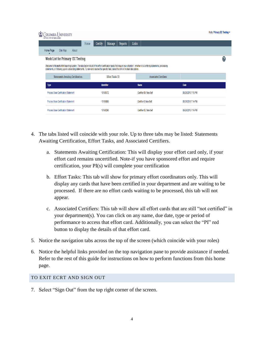| COLUMBIA UNIVERSITY<br>IN THE CITY OF NEW YORK |                                             |                                   |      |                                                                                                                                        |          |         |             |                                                                                                                                                                                      |  |                    | Hello, Primary EC Testing = |
|------------------------------------------------|---------------------------------------------|-----------------------------------|------|----------------------------------------------------------------------------------------------------------------------------------------|----------|---------|-------------|--------------------------------------------------------------------------------------------------------------------------------------------------------------------------------------|--|--------------------|-----------------------------|
|                                                |                                             |                                   | Home | Certify                                                                                                                                | Manage   | Reports | Links       |                                                                                                                                                                                      |  |                    |                             |
| Home Page                                      | Site Map                                    | About                             |      |                                                                                                                                        |          |         |             |                                                                                                                                                                                      |  |                    |                             |
|                                                |                                             | Work List for Primary EC Testing  |      |                                                                                                                                        |          |         |             |                                                                                                                                                                                      |  |                    |                             |
|                                                |                                             |                                   |      | statements, or following up on outstanding statements. To view and resolve the specific task, select the link in the task description. |          |         |             | Welcome to the ecrt effort reporting system. The tabs below list all of the effort certification tasks that require your attention - whether it is certifying statements, processing |  |                    |                             |
|                                                |                                             | Statements Awaiting Certification |      | Effort Tasks (3)                                                                                                                       |          |         |             | <b>Associated Certifiers</b>                                                                                                                                                         |  |                    |                             |
| Type                                           |                                             |                                   |      | <b>Identifier</b>                                                                                                                      |          |         | <b>Name</b> |                                                                                                                                                                                      |  | Date               |                             |
|                                                | <b>Process Base Certification Statement</b> |                                   |      |                                                                                                                                        | 10198572 |         |             | Certifier 09, Non-Self                                                                                                                                                               |  | 09/26/2018 7:15 PM |                             |
|                                                | <b>Process Base Certification Statement</b> |                                   |      |                                                                                                                                        | 10169069 |         |             | Certifier 6, Non-Self                                                                                                                                                                |  | 09/26/2018 7:14 PM |                             |
|                                                | <b>Process Base Certification Statement</b> |                                   |      |                                                                                                                                        | 10198298 |         |             | Certifier 05, Non-Self                                                                                                                                                               |  | 09/26/2018 7:14 PM |                             |
|                                                |                                             |                                   |      |                                                                                                                                        |          |         |             |                                                                                                                                                                                      |  |                    |                             |

- 4. The tabs listed will coincide with your role. Up to three tabs may be listed: Statements Awaiting Certification, Effort Tasks, and Associated Certifiers.
	- a. Statements Awaiting Certification: This will display your effort card only, if your effort card remains uncertified. Note-if you have sponsored effort and require certification, your PI(s) will complete your certification
	- b. Effort Tasks: This tab will show for primary effort coordinators only. This will display any cards that have been certified in your department and are waiting to be processed. If there are no effort cards waiting to be processed, this tab will not appear.
	- c. Associated Certifiers: This tab will show all effort cards that are still "not certified" in your department(s). You can click on any name, due date, type or period of performance to access that effort card. Additionally, you can select the "PI" red button to display the details of that effort card.
- 5. Notice the navigation tabs across the top of the screen (which coincide with your roles)
- 6. Notice the helpful links provided on the top navigation pane to provide assistance if needed. Refer to the rest of this guide for instructions on how to perform functions from this home page.

#### <span id="page-3-0"></span>TO EXIT ECRT AND SIGN OUT

7. Select "Sign Out" from the top right corner of the screen.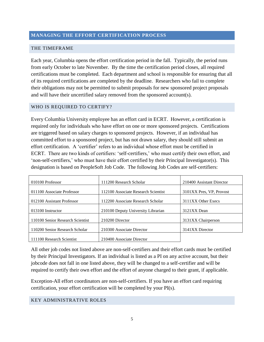#### <span id="page-4-0"></span>**MANAGING THE EFFORT CERTIFICATION PROCESS**

#### <span id="page-4-1"></span>THE TIMEFRAME

Each year, Columbia opens the effort certification period in the fall. Typically, the period runs from early October to late November. By the time the certification period closes, all required certifications must be completed. Each department and school is responsible for ensuring that all of its required certifications are completed by the deadline. Researchers who fail to complete their obligations may not be permitted to submit proposals for new sponsored project proposals and will have their uncertified salary removed from the sponsored account(s).

#### <span id="page-4-2"></span>WHO IS REQUIRED TO CERTIFY?

Every Columbia University employee has an effort card in ECRT. However, a certification is required only for individuals who have effort on one or more sponsored projects. Certifications are triggered based on salary charges to sponsored projects. However, if an individual has committed effort to a sponsored project, but has not drawn salary, they should still submit an effort certification. A 'certifier' refers to an individual whose effort must be certified in ECRT. There are two kinds of certifiers: 'self-certifiers,' who must certify their own effort, and 'non-self-certifiers,' who must have their effort certified by their Principal Investigator(s). This designation is based on PeopleSoft Job Code. The following Job Codes are self-certifiers:

| 010100 Professor                 | 111200 Research Scholar             | 210400 Assistant Director |
|----------------------------------|-------------------------------------|---------------------------|
| 011100 Associate Professor       | 112100 Associate Research Scientist | 3101XX Pres, VP, Provost  |
| 012100 Assistant Professor       | 112200 Associate Research Scholar   | 3111XX Other Execs        |
| 013100 Instructor                | 210100 Deputy University Librarian  | 3121XX Dean               |
| 110100 Senior Research Scientist | 210200 Director                     | 3131XX Chairperson        |
| 110200 Senior Research Scholar   | 210300 Associate Director           | 3141XX Director           |
| 111100 Research Scientist        | 210400 Associate Director           |                           |

All other job codes not listed above are non-self-certifiers and their effort cards must be certified by their Principal Investigators. If an individual is listed as a PI on any active account, but their jobcode does not fall in one listed above, they will be changed to a self-certifier and will be required to certify their own effort and the effort of anyone charged to their grant, if applicable.

Exception-All effort coordinators are non-self-certifiers. If you have an effort card requiring certification, your effort certification will be completed by your PI(s).

#### <span id="page-4-3"></span>KEY ADMINISTRATIVE ROLES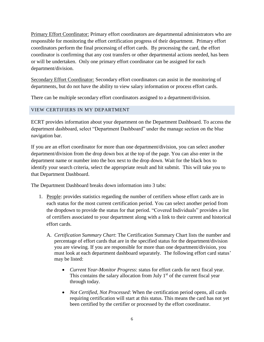Primary Effort Coordinator: Primary effort coordinators are departmental administrators who are responsible for monitoring the effort certification progress of their department. Primary effort coordinators perform the final processing of effort cards. By processing the card, the effort coordinator is confirming that any cost transfers or other departmental actions needed, has been or will be undertaken. Only one primary effort coordinator can be assigned for each department/division.

Secondary Effort Coordinator: Secondary effort coordinators can assist in the monitoring of departments, but do not have the ability to view salary information or process effort cards.

There can be multiple secondary effort coordinators assigned to a department/division.

# <span id="page-5-0"></span>VIEW CERTIFIERS IN MY DEPARTMENT

ECRT provides information about your department on the Department Dashboard. To access the department dashboard, select "Department Dashboard" under the manage section on the blue navigation bar.

If you are an effort coordinator for more than one department/division, you can select another department/division from the drop down box at the top of the page. You can also enter in the department name or number into the box next to the drop down. Wait for the black box to identify your search criteria, select the appropriate result and hit submit. This will take you to that Department Dashboard.

The Department Dashboard breaks down information into 3 tabs:

- 1. People: provides statistics regarding the number of certifiers whose effort cards are in each status for the most current certification period. You can select another period from the dropdown to provide the status for that period. "Covered Individuals" provides a list of certifiers associated to your department along with a link to their current and historical effort cards.
	- A. *Certification Summary Chart*: The Certification Summary Chart lists the number and percentage of effort cards that are in the specified status for the department/division you are viewing. If you are responsible for more than one department/division, you must look at each department dashboard separately. The following effort card status' may be listed:
		- *Current Year-Monitor Progress*: status for effort cards for next fiscal year. This contains the salary allocation from July  $1<sup>st</sup>$  of the current fiscal year through today.
		- *Not Certified, Not Processed*: When the certification period opens, all cards requiring certification will start at this status. This means the card has not yet been certified by the certifier or processed by the effort coordinator.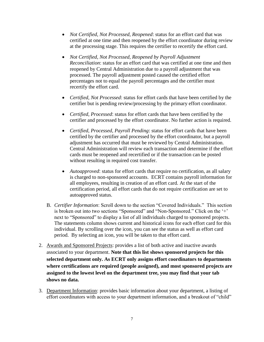- *Not Certified, Not Processed, Reopened*: status for an effort card that was certified at one time and then reopened by the effort coordinator during review at the processing stage. This requires the certifier to recertify the effort card.
- *Not Certified, Not Processed, Reopened by Payroll Adjustment Reconciliation*: status for an effort card that was certified at one time and then reopened by Central Administration due to a payroll adjustment that was processed. The payroll adjustment posted caused the certified effort percentages not to equal the payroll percentages and the certifier must recertify the effort card.
- *Certified, Not Processed*: status for effort cards that have been certified by the certifier but is pending review/processing by the primary effort coordinator.
- *Certified, Processed*: status for effort cards that have been certified by the certifier and processed by the effort coordinator. No further action is required.
- *Certified, Processed, Payroll Pending*: status for effort cards that have been certified by the certifier and processed by the effort coordinator, but a payroll adjustment has occurred that must be reviewed by Central Administration. Central Administration will review each transaction and determine if the effort cards must be reopened and recertified or if the transaction can be posted without resulting in required cost transfer.
- *Autoapproved*: status for effort cards that require no certification, as all salary is charged to non-sponsored accounts. ECRT contains payroll information for all employees, resulting in creation of an effort card. At the start of the certification period, all effort cards that do not require certification are set to autoapproved status.
- B. *Certifier Information*: Scroll down to the section "Covered Individuals." This section is broken out into two sections "Sponsored" and "Non-Sponsored." Click on the '+' next to "Sponsored" to display a list of all individuals charged to sponsored projects. The statements column shows current and historical icons for each effort card for this individual. By scrolling over the icon, you can see the status as well as effort card period. By selecting an icon, you will be taken to that effort card.
- 2. Awards and Sponsored Projects: provides a list of both active and inactive awards associated to your department. **Note that this list shows sponsored projects for this selected department only. As ECRT only assigns effort coordinators to departments where certifications are required (people assigned), and most sponsored projects are assigned to the lowest level on the department tree, you may find that your tab shows no data.**
- 3. Department Information: provides basic information about your department, a listing of effort coordinators with access to your department information, and a breakout of "child"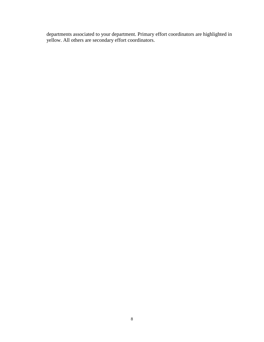departments associated to your department. Primary effort coordinators are highlighted in yellow. All others are secondary effort coordinators.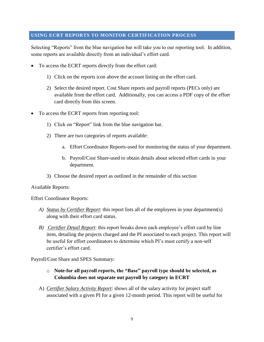#### <span id="page-8-0"></span>**USING ECRT REPORTS TO MONITOR CERTIFICATION PROCESS**

Selecting "Reports" from the blue navigation bar will take you to our reporting tool. In addition, some reports are available directly from an individual's effort card.

- To access the ECRT reports directly from the effort card:
	- 1) Click on the reports icon above the account listing on the effort card.
	- 2) Select the desired report. Cost Share reports and payroll reports (PECs only) are available from the effort card. Additionally, you can access a PDF copy of the effort card directly from this screen.
- To access the ECRT reports from reporting tool:
	- 1) Click on "Report" link from the blue navigation bar.
	- 2) There are two categories of reports available:
		- a. Effort Coordinator Reports-used for monitoring the status of your department.
		- b. Payroll/Cost Share-used to obtain details about selected effort cards in your department.
	- 3) Choose the desired report as outlined in the remainder of this section

Available Reports:

Effort Coordinator Reports:

- *A) Status by Certifier Report*: this report lists all of the employees in your department(s) along with their effort card status.
- *B) Certifier Detail Report*: this report breaks down each employee's effort card by line item, detailing the projects charged and the PI associated to each project. This report will be useful for effort coordinators to determine which PI's must certify a non-self certifier's effort card.

Payroll/Cost Share and SPES Summary:

- o **Note-for all payroll reports, the "Base" payroll type should be selected, as Columbia does not separate out payroll by category in ECRT**
- A) *Certifier Salary Activity Report*: shows all of the salary activity for project staff associated with a given PI for a given 12-month period. This report will be useful for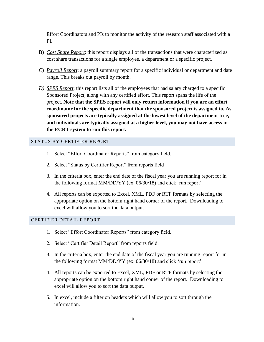Effort Coordinators and PIs to monitor the activity of the research staff associated with a PI.

- B) *Cost Share Report*: this report displays all of the transactions that were characterized as cost share transactions for a single employee, a department or a specific project.
- C) *Payroll Report*: a payroll summary report for a specific individual or department and date range. This breaks out payroll by month.
- *D) SPES Report*: this report lists all of the employees that had salary charged to a specific Sponsored Project, along with any certified effort. This report spans the life of the project. **Note that the SPES report will only return information if you are an effort coordinator for the specific department that the sponsored project is assigned to. As sponsored projects are typically assigned at the lowest level of the department tree, and individuals are typically assigned at a higher level, you may not have access in the ECRT system to run this report.**

# <span id="page-9-0"></span>STATUS BY CERTIFIER REPORT

- 1. Select "Effort Coordinator Reports" from category field.
- 2. Select "Status by Certifier Report" from reports field
- 3. In the criteria box, enter the end date of the fiscal year you are running report for in the following format MM/DD/YY (ex. 06/30/18) and click 'run report'.
- 4. All reports can be exported to Excel, XML, PDF or RTF formats by selecting the appropriate option on the bottom right hand corner of the report. Downloading to excel will allow you to sort the data output.

#### <span id="page-9-1"></span>CERTIFIER DETAIL REPORT

- 1. Select "Effort Coordinator Reports" from category field.
- 2. Select "Certifier Detail Report" from reports field.
- 3. In the criteria box, enter the end date of the fiscal year you are running report for in the following format MM/DD/YY (ex. 06/30/18) and click 'run report'.
- 4. All reports can be exported to Excel, XML, PDF or RTF formats by selecting the appropriate option on the bottom right hand corner of the report. Downloading to excel will allow you to sort the data output.
- 5. In excel, include a filter on headers which will allow you to sort through the information.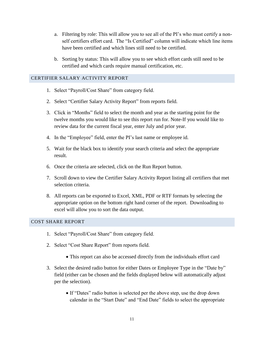- a. Filtering by role: This will allow you to see all of the PI's who must certify a nonself certifiers effort card. The "Is Certified" column will indicate which line items have been certified and which lines still need to be certified.
- b. Sorting by status: This will allow you to see which effort cards still need to be certified and which cards require manual certification, etc.

#### <span id="page-10-0"></span>CERTIFIER SALARY ACTIVITY REPORT

- 1. Select "Payroll/Cost Share" from category field.
- 2. Select "Certifier Salary Activity Report" from reports field.
- 3. Click in "Months" field to select the month and year as the starting point for the twelve months you would like to see this report run for. Note-If you would like to review data for the current fiscal year, enter July and prior year.
- 4. In the "Employee" field, enter the PI's last name or employee id.
- 5. Wait for the black box to identify your search criteria and select the appropriate result.
- 6. Once the criteria are selected, click on the Run Report button.
- 7. Scroll down to view the Certifier Salary Activity Report listing all certifiers that met selection criteria.
- 8. All reports can be exported to Excel, XML, PDF or RTF formats by selecting the appropriate option on the bottom right hand corner of the report. Downloading to excel will allow you to sort the data output.

#### <span id="page-10-1"></span>COST SHARE REPORT

- 1. Select "Payroll/Cost Share" from category field.
- 2. Select "Cost Share Report" from reports field.
	- This report can also be accessed directly from the individuals effort card
- 3. Select the desired radio button for either Dates or Employee Type in the "Date by" field (either can be chosen and the fields displayed below will automatically adjust per the selection).
	- If "Dates" radio button is selected per the above step, use the drop down calendar in the "Start Date" and "End Date" fields to select the appropriate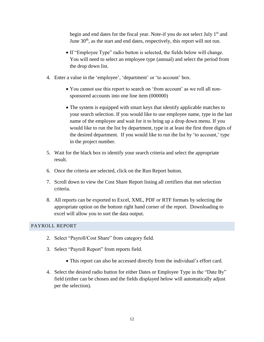begin and end dates for the fiscal year. Note-if you do not select July 1<sup>st</sup> and June  $30<sup>th</sup>$ , as the start and end dates, respectively, this report will not run.

- If "Employee Type" radio button is selected, the fields below will change. You will need to select an employee type (annual) and select the period from the drop down list.
- 4. Enter a value in the 'employee', 'department' or 'to account' box.
	- You cannot use this report to search on 'from account' as we roll all nonsponsored accounts into one line item (000000)
	- The system is equipped with smart keys that identify applicable matches to your search selection. If you would like to use employee name, type in the last name of the employee and wait for it to bring up a drop down menu. If you would like to run the list by department, type in at least the first three digits of the desired department. If you would like to run the list by 'to account,' type in the project number.
- 5. Wait for the black box to identify your search criteria and select the appropriate result.
- 6. Once the criteria are selected, click on the Run Report button.
- 7. Scroll down to view the Cost Share Report listing all certifiers that met selection criteria.
- 8. All reports can be exported to Excel, XML, PDF or RTF formats by selecting the appropriate option on the bottom right hand corner of the report. Downloading to excel will allow you to sort the data output.

# <span id="page-11-0"></span>PAYROLL REPORT

- 2. Select "Payroll/Cost Share" from category field.
- 3. Select "Payroll Report" from reports field.
	- This report can also be accessed directly from the individual's effort card.
- 4. Select the desired radio button for either Dates or Employee Type in the "Date By" field (either can be chosen and the fields displayed below will automatically adjust per the selection).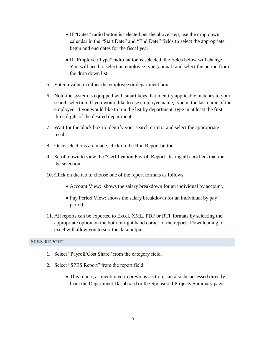- If "Dates" radio button is selected per the above step, use the drop down calendar in the "Start Date" and "End Date" fields to select the appropriate begin and end dates for the fiscal year.
- If "Employee Type" radio button is selected, the fields below will change. You will need to select an employee type (annual) and select the period from the drop down list.
- 5. Enter a value in either the employee or department box.
- 6. Note-the system is equipped with smart keys that identify applicable matches to your search selection. If you would like to use employee name, type in the last name of the employee. If you would like to run the list by department, type in at least the first three digits of the desired department.
- 7. Wait for the black box to identify your search criteria and select the appropriate result.
- 8. Once selections are made, click on the Run Report button.
- 9. Scroll down to view the "Certification Payroll Report" listing all certifiers that met the selection.
- 10. Click on the tab to choose one of the report formats as follows:
	- Account View: shows the salary breakdown for an individual by account.
	- Pay Period View: shows the salary breakdown for an individual by pay period.
- 11. All reports can be exported to Excel, XML, PDF or RTF formats by selecting the appropriate option on the bottom right hand corner of the report. Downloading to excel will allow you to sort the data output.

#### <span id="page-12-0"></span>SPES REPORT

- 1. Select "Payroll/Cost Share" from the category field.
- 2. Select "SPES Report" from the report field.
	- This report, as mentioned in previous section, can also be accessed directly from the Department Dashboard or the Sponsored Projects Summary page.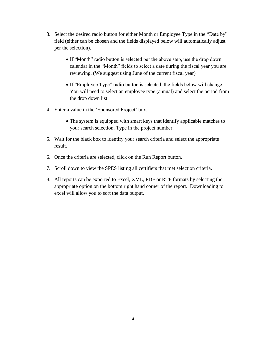- 3. Select the desired radio button for either Month or Employee Type in the "Date by" field (either can be chosen and the fields displayed below will automatically adjust per the selection).
	- If "Month" radio button is selected per the above step, use the drop down calendar in the "Month" fields to select a date during the fiscal year you are reviewing. (We suggest using June of the current fiscal year)
	- If "Employee Type" radio button is selected, the fields below will change. You will need to select an employee type (annual) and select the period from the drop down list.
- 4. Enter a value in the 'Sponsored Project' box.
	- The system is equipped with smart keys that identify applicable matches to your search selection. Type in the project number.
- 5. Wait for the black box to identify your search criteria and select the appropriate result.
- 6. Once the criteria are selected, click on the Run Report button.
- 7. Scroll down to view the SPES listing all certifiers that met selection criteria.
- 8. All reports can be exported to Excel, XML, PDF or RTF formats by selecting the appropriate option on the bottom right hand corner of the report. Downloading to excel will allow you to sort the data output.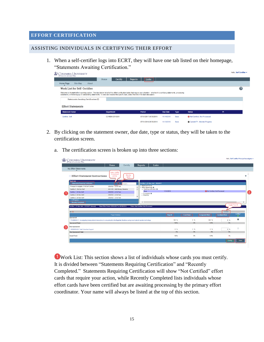#### <span id="page-14-0"></span>**EFFORT CERTIFICATION**

#### <span id="page-14-1"></span>ASSISTING INDIVIDUALS IN CERTIFYING THEIR EFFORT

1. When a self-certifier logs into ECRT, they will have one tab listed on their homepage, "Statements Awaiting Certification."

| <b>D</b> Columbia University<br>IN THE CITY OF NEW YORK |          |                                              |      |                                                                                                                                        |         |                       |                                                                                                                                                                                      |             |                                       |    | Hello, Self Certifier - |
|---------------------------------------------------------|----------|----------------------------------------------|------|----------------------------------------------------------------------------------------------------------------------------------------|---------|-----------------------|--------------------------------------------------------------------------------------------------------------------------------------------------------------------------------------|-------------|---------------------------------------|----|-------------------------|
|                                                         |          |                                              | Home | Certify                                                                                                                                | Reports | Links                 |                                                                                                                                                                                      |             |                                       |    |                         |
| Home Page                                               | Site Map | About                                        |      |                                                                                                                                        |         |                       |                                                                                                                                                                                      |             |                                       |    |                         |
| <b>Work List for Self Certifier</b>                     |          |                                              |      |                                                                                                                                        |         |                       |                                                                                                                                                                                      |             |                                       |    | 2                       |
|                                                         |          |                                              |      | statements, or following up on outstanding statements. To view and resolve the specific task, select the link in the task description. |         |                       | Welcome to the ecrt effort reporting system. The tabs below list all of the effort certification tasks that require your attention - whether it is certifying statements, processing |             |                                       |    |                         |
|                                                         |          | <b>Statements Awaiting Certification (2)</b> |      |                                                                                                                                        |         |                       |                                                                                                                                                                                      |             |                                       |    |                         |
| <b>Effort Statements</b>                                |          |                                              |      |                                                                                                                                        |         |                       |                                                                                                                                                                                      |             |                                       |    |                         |
| <b>Statement Owner</b>                                  |          |                                              |      | <b>Department</b>                                                                                                                      |         | Period                | <b>Due Date</b>                                                                                                                                                                      | <b>Type</b> | <b>Status</b>                         | PI |                         |
| Certifier, Self                                         |          |                                              |      | 521400X-2510001                                                                                                                        |         | 07/01/2017-06/30/2018 | 11/14/2018                                                                                                                                                                           | Base        | <b>3 Not Certified. Not Processed</b> |    |                         |
|                                                         |          |                                              |      |                                                                                                                                        |         | 07/01/2018-06/30/2019 | 11/13/2019                                                                                                                                                                           | Base        | Current FY - Monitor Progress         |    |                         |

2. By clicking on the statement owner, due date, type or status, they will be taken to the certification screen.

|                                                               | Home<br>Certify                                                                                                                       | Links<br>Reports                                                         |            |                   |                        |                              |                |
|---------------------------------------------------------------|---------------------------------------------------------------------------------------------------------------------------------------|--------------------------------------------------------------------------|------------|-------------------|------------------------|------------------------------|----------------|
| My Effort Statements<br>$\blacktriangle$                      |                                                                                                                                       |                                                                          |            |                   |                        |                              |                |
| [-] Effort Statement Instructions                             | view / certify<br>10 cards at<br>filter by<br>a time<br>name                                                                          |                                                                          |            |                   |                        |                              |                |
| <b>Work List</b><br><b>Statements Requiring Certification</b> | Search.                                                                                                                               | Certifier 1. Dr Non-Self - 10232017                                      |            |                   |                        |                              |                |
| Principal Investigator, Prof Self-Certifier                   | 2202302 - LIB & Test                                                                                                                  | <b>Ex Statement Owner</b>                                                |            |                   |                        |                              |                |
| Certifier 3 . Ms Non-Self                                     | 4041103 - A&S Biology Students                                                                                                        | Effort Statements<br>$\hat{}$<br>$\div$ Needing certification $\bigstar$ |            |                   |                        |                              |                |
| Certifier 1. Dr Non-Self                                      | 2202302 - LIB & Test                                                                                                                  | Base                                                                     | 11/14/2018 |                   |                        | Not Certified, Not Processed |                |
| Certifier 2, Mr Non-Self                                      | 2202302 - LIB & Test                                                                                                                  | $\triangleright$ In progress $\bigstar$<br><b>Historical</b>             |            |                   |                        |                              |                |
| Certifier 4, Mr Non-Self                                      | 2202302 - LIB & Test                                                                                                                  | Ш                                                                        |            |                   |                        |                              |                |
| In Progress                                                   |                                                                                                                                       |                                                                          |            |                   |                        |                              |                |
| <b>Recently Completed</b>                                     |                                                                                                                                       | $\langle$                                                                |            |                   |                        |                              |                |
| Certifier 1, Dr Non-Self - 10232017 (Annual)                  | Base Effort Period: 07/01/2017 to 06/30/2018                                                                                          | <b>Status: Not Certified. Not Processed</b>                              |            |                   |                        |                              | toggle % or \$ |
|                                                               |                                                                                                                                       |                                                                          |            |                   |                        |                              |                |
|                                                               |                                                                                                                                       |                                                                          |            |                   |                        | <b>S</b> Value               |                |
| 田口                                                            |                                                                                                                                       |                                                                          | Payroll    | <b>Cost Share</b> | <b>Computed Effort</b> | <b>Certified Effort</b>      | Certify?<br>e. |
|                                                               | Project-Activitys                                                                                                                     |                                                                          |            |                   |                        |                              |                |
| <b>Sponsored</b>                                              |                                                                                                                                       |                                                                          |            |                   |                        |                              |                |
|                                                               | PG008698-01 Investigating hostsymbiont interactions in a muxotrophic dinoflagellate Noctiluca using novel optical reporter technology |                                                                          | 100 %      | 0 %               | 100 %                  | 0 %                          | $\sim$         |
| <b>Sponsored Total:</b>                                       |                                                                                                                                       |                                                                          | 100%       | 0%                | 100%                   | 0%                           |                |
| <b>Non Sponsored</b>                                          |                                                                                                                                       |                                                                          |            |                   |                        |                              |                |
| 00000000-00 Total Columbia Support                            |                                                                                                                                       |                                                                          | 0.56       | 0.36              | 0.56                   | 0 <sup>96</sup>              | $\Box$         |
| <b>Non Sponsored Total:</b>                                   |                                                                                                                                       |                                                                          | 0%         | 0%                | 0%                     | 0%                           |                |

a. The certification screen is broken up into three sections:

Work List: This section shows a list of individuals whose cards you must certify. It is divided between "Statements Requiring Certification" and "Recently Completed." Statements Requiring Certification will show "Not Certified" effort cards that require your action, while Recently Completed lists individuals whose effort cards have been certified but are awaiting processing by the primary effort coordinator. Your name will always be listed at the top of this section.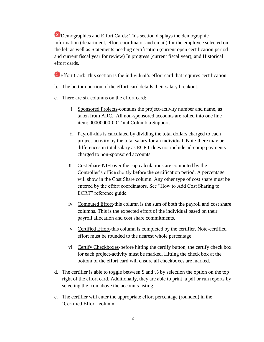**2** Demographics and Effort Cards: This section displays the demographic information (department, effort coordinator and email) for the employee selected on the left as well as Statements needing certification (current open certification period and current fiscal year for review) In progress (current fiscal year), and Historical effort cards.

<sup>3</sup> Effort Card: This section is the individual's effort card that requires certification.

- b. The bottom portion of the effort card details their salary breakout.
- c. There are six columns on the effort card:
	- i. Sponsored Projects-contains the project-activity number and name, as taken from ARC. All non-sponsored accounts are rolled into one line item: 00000000-00 Total Columbia Support.
	- ii. Payroll-this is calculated by dividing the total dollars charged to each project-activity by the total salary for an individual. Note-there may be differences in total salary as ECRT does not include ad-comp payments charged to non-sponsored accounts.
	- iii. Cost Share-NIH over the cap calculations are computed by the Controller's office shortly before the certification period. A percentage will show in the Cost Share column. Any other type of cost share must be entered by the effort coordinators. See "How to Add Cost Sharing to ECRT" reference guide.
	- iv. Computed Effort-this column is the sum of both the payroll and cost share columns. This is the expected effort of the individual based on their payroll allocation and cost share commitments.
	- v. Certified Effort-this column is completed by the certifier. Note-certified effort must be rounded to the nearest whole percentage.
	- vi. Certify Checkboxes-before hitting the certify button, the certify check box for each project-activity must be marked. Hitting the check box at the bottom of the effort card will ensure all checkboxes are marked.
- d. The certifier is able to toggle between \$ and % by selection the option on the top right of the effort card. Additionally, they are able to print a pdf or run reports by selecting the icon above the accounts listing.
- e. The certifier will enter the appropriate effort percentage (rounded) in the 'Certified Effort' column.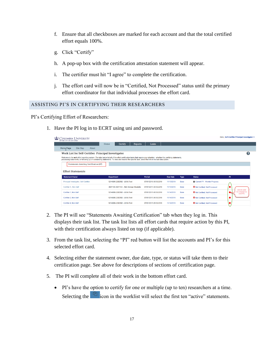- f. Ensure that all checkboxes are marked for each account and that the total certified effort equals 100%.
- g. Click "Certify"
- h. A pop-up box with the certification attestation statement will appear.
- i. The certifier must hit "I agree" to complete the certification.
- j. The effort card will now be in "Certified, Not Processed" status until the primary effort coordinator for that individual processes the effort card.

### <span id="page-16-0"></span>ASSISTING PI'S IN CERTIFYING THEIR RESEARCHERS

PI's Certifying Effort of Researchers:

1. Have the PI log in to ECRT using uni and password.

| <b>COLUMBIA UNIVERSITY</b><br>IN THE CITY OF NEW YORK |                                                                                                                                                                                                                                                                                                                                |                       |                 |             |                                           | Hello, Self-Certifier Principal Investigator y |
|-------------------------------------------------------|--------------------------------------------------------------------------------------------------------------------------------------------------------------------------------------------------------------------------------------------------------------------------------------------------------------------------------|-----------------------|-----------------|-------------|-------------------------------------------|------------------------------------------------|
|                                                       | Certify<br>Home<br>Reports                                                                                                                                                                                                                                                                                                     | Links                 |                 |             |                                           |                                                |
| Home Page<br>Site Map<br>About                        |                                                                                                                                                                                                                                                                                                                                |                       |                 |             |                                           |                                                |
| Work List for Self-Certifier Principal Investigator   | Welcome to the ecrt effort reporting system. The tabs below list all of the effort certification tasks that require your attention - whether it is certifying statements,<br>processing statements, or following up on outstanding statements. To view and resolve the specific task, select the link in the task description. |                       |                 |             |                                           | 0                                              |
| <b>Statements Awaiting Certification (47)</b>         |                                                                                                                                                                                                                                                                                                                                |                       |                 |             |                                           |                                                |
|                                                       |                                                                                                                                                                                                                                                                                                                                |                       |                 |             |                                           |                                                |
| <b>Effort Statements</b><br><b>Statement Owner</b>    | <b>Department</b>                                                                                                                                                                                                                                                                                                              | Period                | <b>Due Date</b> | <b>Type</b> | <b>Status</b>                             | PI                                             |
| Principal Investigator, Self-Certifier                | 521400X-2202302 - LIB & Test                                                                                                                                                                                                                                                                                                   | 07/01/2018-06/30/2019 | 11/13/2019      | Base        | Current FY - Monitor Progress             |                                                |
| Certifier 3, Non-Self                                 | 4041103-4041103 - A&S Biology Students                                                                                                                                                                                                                                                                                         | 07/01/2017-06/30/2018 | 11/14/2018      | Base        | <b>O</b> Not Certified, Not Processed     |                                                |
| Certifier 1, Non-Self                                 | 521400X-2202302 - LIB & Test                                                                                                                                                                                                                                                                                                   | 07/01/2017-06/30/2018 | 11/14/2018      | <b>Base</b> | <b>3 Not Certified. Not Processed</b>     | click to view<br>list of projects<br>and Pl's  |
| Certifier 2, Non-Self                                 | 521400X-2202302 - LIB & Test                                                                                                                                                                                                                                                                                                   | 07/01/2017-06/30/2018 | 11/14/2018      | Base        | <sup>3</sup> Not Certified. Not Processed |                                                |

- 2. The PI will see "Statements Awaiting Certification" tab when they log in. This displays their task list. The task list lists all effort cards that require action by this PI, with their certification always listed on top (if applicable).
- 3. From the task list, selecting the "PI" red button will list the accounts and PI's for this selected effort card.
- 4. Selecting either the statement owner, due date, type, or status will take them to their certification page. See above for descriptions of sections of certification page.
- 5. The PI will complete all of their work in the bottom effort card.
	- PI's have the option to certify for one or multiple (up to ten) researchers at a time. Selecting the  $\begin{bmatrix} 1 \end{bmatrix}$  icon in the worklist will select the first ten "active" statements.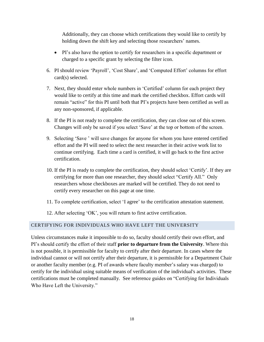Additionally, they can choose which certifications they would like to certify by holding down the shift key and selecting those researchers' names.

- PI's also have the option to certify for researchers in a specific department or charged to a specific grant by selecting the filter icon.
- 6. PI should review 'Payroll', 'Cost Share', and 'Computed Effort' columns for effort card(s) selected.
- 7. Next, they should enter whole numbers in 'Certified' column for each project they would like to certify at this time and mark the certified checkbox. Effort cards will remain "active" for this PI until both that PI's projects have been certified as well as any non-sponsored, if applicable.
- 8. If the PI is not ready to complete the certification, they can close out of this screen. Changes will only be saved if you select 'Save' at the top or bottom of the screen.
- 9. Selecting 'Save ' will save changes for anyone for whom you have entered certified effort and the PI will need to select the next researcher in their active work list to continue certifying. Each time a card is certified, it will go back to the first active certification.
- 10. If the PI is ready to complete the certification, they should select 'Certify'. If they are certifying for more than one researcher, they should select "Certify All." Only researchers whose checkboxes are marked will be certified. They do not need to certify every researcher on this page at one time.
- 11. To complete certification, select 'I agree' to the certification attestation statement.
- 12. After selecting 'OK', you will return to first active certification.

#### <span id="page-17-0"></span>CERTIFYING FOR INDIVIDUALS WHO HAVE LEFT THE UNIVERSITY

Unless circumstances make it impossible to do so, faculty should certify their own effort, and PI's should certify the effort of their staff **prior to departure from the University**. Where this is not possible, it is permissible for faculty to certify after their departure. In cases where the individual cannot or will not certify after their departure, it is permissible for a Department Chair or another faculty member (e.g. PI of awards where faculty member's salary was charged) to certify for the individual using suitable means of verification of the individual's activities. These certifications must be completed manually. See reference guides on "Certifying for Individuals Who Have Left the University."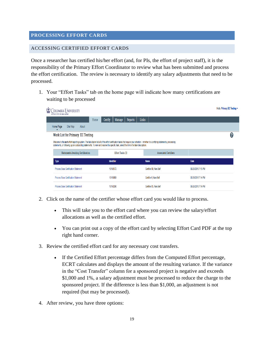#### <span id="page-18-0"></span>**PROCESSING EFFORT CARDS**

#### <span id="page-18-1"></span>ACCESSING CERTIFIED EFFORT CARDS

Once a researcher has certified his/her effort (and, for PIs, the effort of project staff), it is the responsibility of the Primary Effort Coordinator to review what has been submitted and process the effort certification. The review is necessary to identify any salary adjustments that need to be processed.

1. Your "Effort Tasks" tab on the home page will indicate how many certifications are waiting to be processed

| COLUMBIA UNIVERSITY<br>IN THE CITY OF NEW YORK |                                             |                                          |          |                                                                                                                                        |          |         |                                             |                                                                                                                                                                                      |                    |                    | Hello, Primary EC Testing $\sim$ |  |
|------------------------------------------------|---------------------------------------------|------------------------------------------|----------|----------------------------------------------------------------------------------------------------------------------------------------|----------|---------|---------------------------------------------|--------------------------------------------------------------------------------------------------------------------------------------------------------------------------------------|--------------------|--------------------|----------------------------------|--|
|                                                |                                             |                                          | Home     | Certify                                                                                                                                | Manage   | Reports | Links                                       |                                                                                                                                                                                      |                    |                    |                                  |  |
| Home Page                                      | Site Map                                    | About                                    |          |                                                                                                                                        |          |         |                                             |                                                                                                                                                                                      |                    |                    |                                  |  |
|                                                |                                             | <b>Work List for Primary EC Testing</b>  |          |                                                                                                                                        |          |         |                                             |                                                                                                                                                                                      |                    |                    | (?                               |  |
|                                                |                                             |                                          |          | statements, or following up on outstanding statements. To view and resolve the specific task, select the link in the task description. |          |         |                                             | Welcome to the ecrt effort reporting system. The tabs below list all of the effort certification tasks that require your attention - whether it is certifying statements, processing |                    |                    |                                  |  |
|                                                |                                             | <b>Statements Awaiting Certification</b> |          | Effort Tasks (3)                                                                                                                       |          |         |                                             | <b>Associated Certifiers</b>                                                                                                                                                         |                    |                    |                                  |  |
| <b>Type</b>                                    |                                             |                                          |          | <b>Identifier</b>                                                                                                                      |          |         | <b>Name</b>                                 |                                                                                                                                                                                      |                    | Date               |                                  |  |
| <b>Process Base Certification Statement</b>    |                                             |                                          | 10198572 |                                                                                                                                        |          |         | Certifier 09, Non-Self                      |                                                                                                                                                                                      | 09/26/2018 7:15 PM |                    |                                  |  |
| <b>Process Base Certification Statement</b>    |                                             |                                          | 10169069 |                                                                                                                                        |          |         | Certifier 6, Non-Self<br>09/26/2018 7:14 PM |                                                                                                                                                                                      |                    |                    |                                  |  |
|                                                | <b>Process Base Certification Statement</b> |                                          |          |                                                                                                                                        | 10198298 |         |                                             | Certifier 05, Non-Self                                                                                                                                                               |                    | 09/26/2018 7:14 PM |                                  |  |
|                                                |                                             |                                          |          |                                                                                                                                        |          |         |                                             |                                                                                                                                                                                      |                    |                    |                                  |  |

- 2. Click on the name of the certifier whose effort card you would like to process.
	- This will take you to the effort card where you can review the salary/effort allocations as well as the certified effort.
	- You can print out a copy of the effort card by selecting Effort Card PDF at the top right hand corner.
- 3. Review the certified effort card for any necessary cost transfers.
	- If the Certified Effort percentage differs from the Computed Effort percentage, ECRT calculates and displays the amount of the resulting variance. If the variance in the "Cost Transfer" column for a sponsored project is negative and exceeds \$1,000 and 1%, a salary adjustment must be processed to reduce the charge to the sponsored project. If the difference is less than \$1,000, an adjustment is not required (but may be processed).
- 4. After review, you have three options: